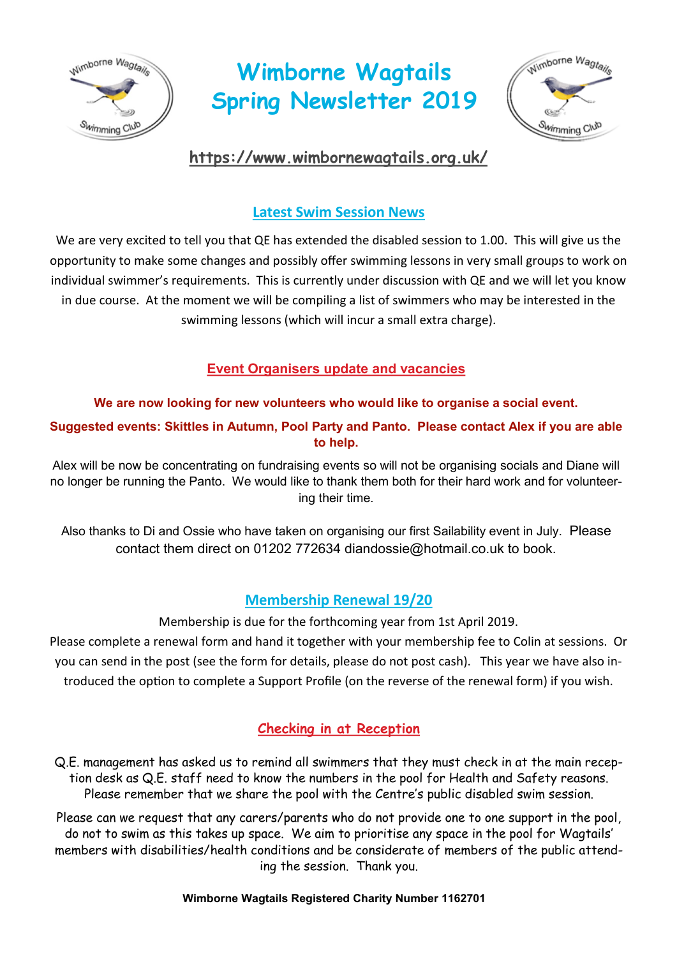

# **Wimborne Wagtails Spring Newsletter 2019**



# **<https://www.wimbornewagtails.org.uk/>**

# **Latest Swim Session News**

We are very excited to tell you that QE has extended the disabled session to 1.00. This will give us the opportunity to make some changes and possibly offer swimming lessons in very small groups to work on individual swimmer's requirements. This is currently under discussion with QE and we will let you know in due course. At the moment we will be compiling a list of swimmers who may be interested in the swimming lessons (which will incur a small extra charge).

# **Event Organisers update and vacancies**

### **We are now looking for new volunteers who would like to organise a social event.**

**Suggested events: Skittles in Autumn, Pool Party and Panto. Please contact Alex if you are able to help.**

Alex will be now be concentrating on fundraising events so will not be organising socials and Diane will no longer be running the Panto. We would like to thank them both for their hard work and for volunteering their time.

Also thanks to Di and Ossie who have taken on organising our first Sailability event in July. Please contact them direct on 01202 772634 diandossie@hotmail.co.uk to book.

# **Membership Renewal 19/20**

Membership is due for the forthcoming year from 1st April 2019.

Please complete a renewal form and hand it together with your membership fee to Colin at sessions. Or you can send in the post (see the form for details, please do not post cash). This year we have also introduced the option to complete a Support Profile (on the reverse of the renewal form) if you wish.

## **Checking in at Reception**

Q.E. management has asked us to remind all swimmers that they must check in at the main reception desk as Q.E. staff need to know the numbers in the pool for Health and Safety reasons. Please remember that we share the pool with the Centre's public disabled swim session.

Please can we request that any carers/parents who do not provide one to one support in the pool, do not to swim as this takes up space. We aim to prioritise any space in the pool for Wagtails' members with disabilities/health conditions and be considerate of members of the public attending the session. Thank you.

#### **Wimborne Wagtails Registered Charity Number 1162701**